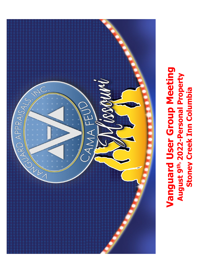

**-Personal Property**

August 9th, 2022-Personal Property

**Stoney Creek Inn Columbia**

**Stoney Creek Inn Columbia**